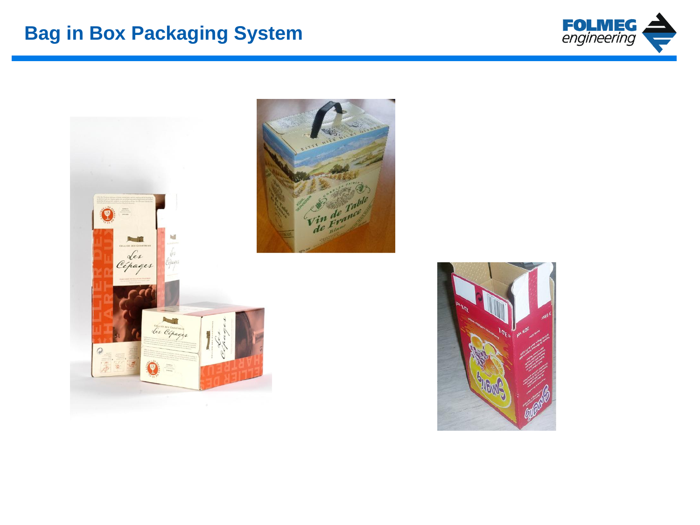



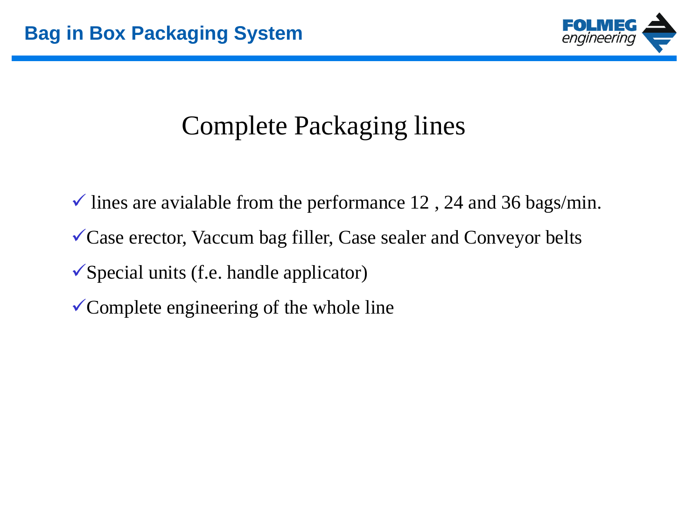

# Complete Packaging lines

 $\checkmark$  lines are avialable from the performance 12, 24 and 36 bags/min. Case erector, Vaccum bag filler, Case sealer and Conveyor belts  $\checkmark$  Special units (f.e. handle applicator)  $\checkmark$  Complete engineering of the whole line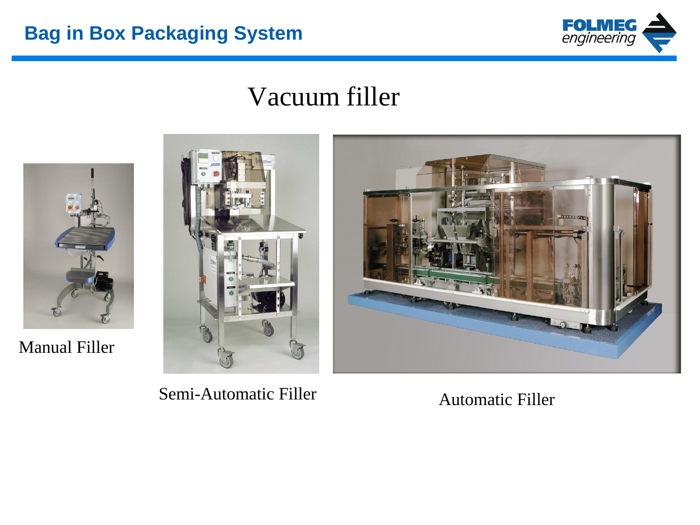

## Vacuum filler



Manual Filler



Semi-Automatic Filler **Automatic Filler** Automatic Filler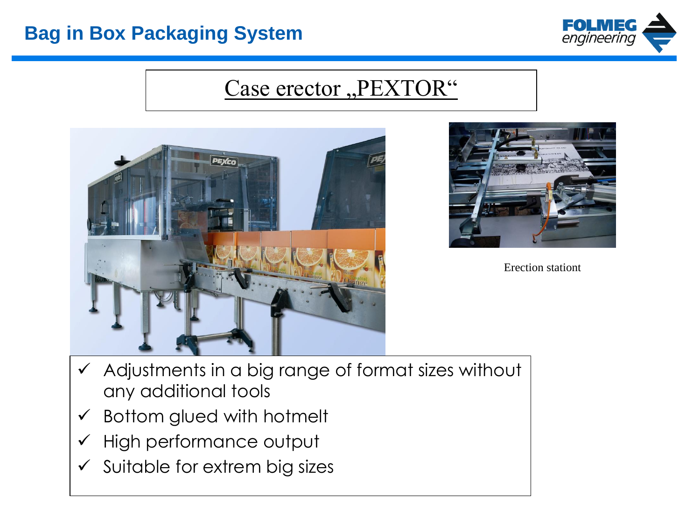

### Case erector "PEXTOR"





Erection stationt

- $\checkmark$  Adjustments in a big range of format sizes without any additional tools
- $\checkmark$  Bottom glued with hotmelt
- $\checkmark$  High performance output
- $\checkmark$  Suitable for extrem big sizes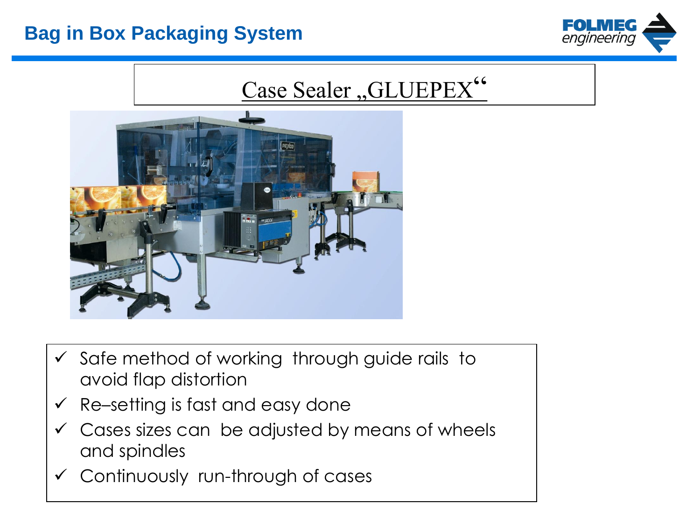

# Case Sealer "GLUEPEX"



- $\checkmark$  Safe method of working through guide rails to avoid flap distortion
- $\checkmark$  Re–setting is fast and easy done
- $\checkmark$  Cases sizes can be adjusted by means of wheels and spindles
- $\checkmark$  Continuously run-through of cases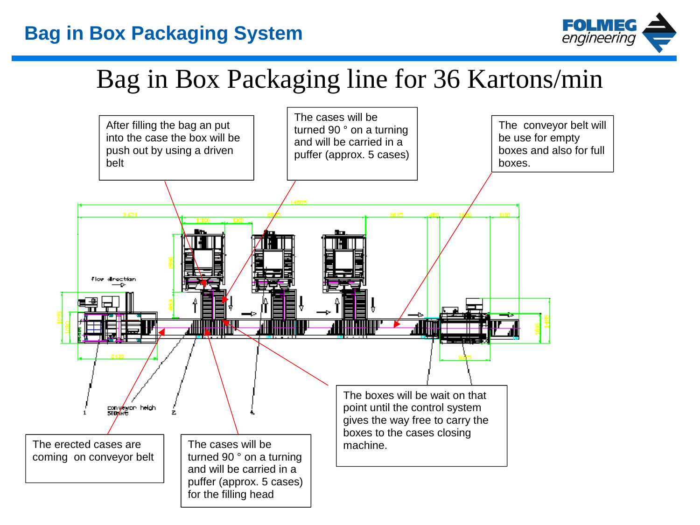

## Bag in Box Packaging line for 36 Kartons/min

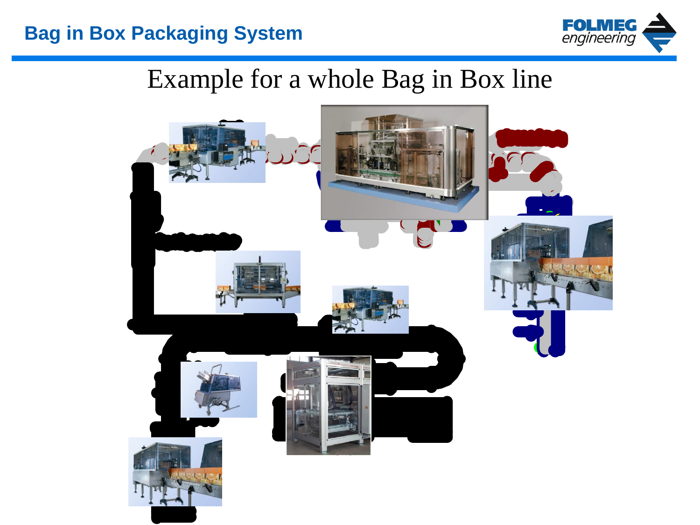

## Example for a whole Bag in Box line